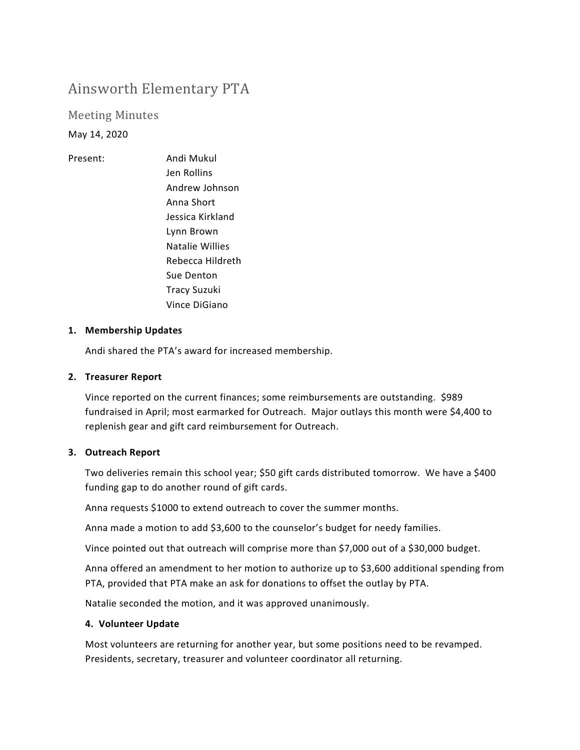# Ainsworth Elementary PTA

Meeting Minutes

May 14, 2020

Present: Andi Mukul Jen Rollins Andrew Johnson Anna Short Jessica Kirkland Lynn Brown Natalie Willies Rebecca Hildreth Sue Denton Tracy Suzuki Vince DiGiano

## **1. Membership Updates**

Andi shared the PTA's award for increased membership.

## **2. Treasurer Report**

Vince reported on the current finances; some reimbursements are outstanding. \$989 fundraised in April; most earmarked for Outreach. Major outlays this month were \$4,400 to replenish gear and gift card reimbursement for Outreach.

#### **3. Outreach Report**

Two deliveries remain this school year; \$50 gift cards distributed tomorrow. We have a \$400 funding gap to do another round of gift cards.

Anna requests \$1000 to extend outreach to cover the summer months.

Anna made a motion to add \$3,600 to the counselor's budget for needy families.

Vince pointed out that outreach will comprise more than \$7,000 out of a \$30,000 budget.

Anna offered an amendment to her motion to authorize up to \$3,600 additional spending from PTA, provided that PTA make an ask for donations to offset the outlay by PTA.

Natalie seconded the motion, and it was approved unanimously.

#### **4. Volunteer Update**

Most volunteers are returning for another year, but some positions need to be revamped. Presidents, secretary, treasurer and volunteer coordinator all returning.